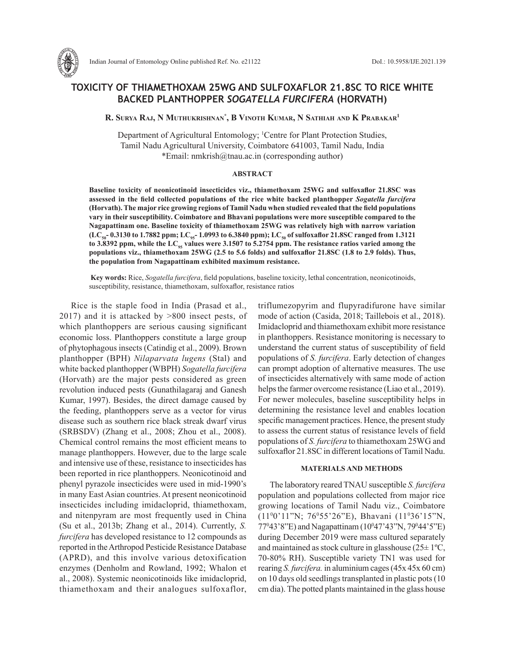

# **TOXICITY OF THIAMETHOXAM 25WG AND SULFOXAFLOR 21.8SC TO RICE WHITE BACKED PLANTHOPPER** *SOGATELLA FURCIFERA* **(HORVATH)**

**R. Surya Raj, N Muthukrishnan\* , B Vinoth Kumar, N Sathiah and K Prabakar1**

Department of Agricultural Entomology; <sup>1</sup>Centre for Plant Protection Studies, Tamil Nadu Agricultural University, Coimbatore 641003, Tamil Nadu, India \*Email: nmkrish@tnau.ac.in (corresponding author)

# **ABSTRACT**

**Baseline toxicity of neonicotinoid insecticides viz., thiamethoxam 25WG and sulfoxaflor 21.8SC was assessed in the field collected populations of the rice white backed planthopper** *Sogatella furcifera*  **(Horvath). The major rice growing regions of Tamil Nadu when studied revealed that the field populations vary in their susceptibility. Coimbatore and Bhavani populations were more susceptible compared to the Nagapattinam one. Baseline toxicity of thiamethoxam 25WG was relatively high with narrow variation**  (LC<sub>50</sub><sup>-</sup> 0.3130 to 1.7882 ppm; LC<sub>95</sub><sup>-</sup> 1.0993 to 6.3840 ppm); LC<sub>50</sub> of sulfoxaflor 21.8SC ranged from 1.3121 to 3.8392 ppm, while the LC<sub>95</sub> values were 3.1507 to 5.2754 ppm. The resistance ratios varied among the **populations viz., thiamethoxam 25WG (2.5 to 5.6 folds) and sulfoxaflor 21.8SC (1.8 to 2.9 folds). Thus, the population from Nagapattinam exhibited maximum resistance.**

 **Key words:** Rice, *Sogatella furcifera*, field populations, baseline toxicity, lethal concentration, neonicotinoids, susceptibility, resistance, thiamethoxam, sulfoxaflor, resistance ratios

Rice is the staple food in India (Prasad et al., 2017) and it is attacked by >800 insect pests, of which planthoppers are serious causing significant economic loss. Planthoppers constitute a large group of phytophagous insects (Catindig et al., 2009). Brown planthopper (BPH) *Nilaparvata lugens* (Stal) and white backed planthopper (WBPH) *Sogatella furcifera* (Horvath) are the major pests considered as green revolution induced pests (Gunathilagaraj and Ganesh Kumar, 1997). Besides, the direct damage caused by the feeding, planthoppers serve as a vector for virus disease such as southern rice black streak dwarf virus (SRBSDV) (Zhang et al., 2008; Zhou et al., 2008). Chemical control remains the most efficient means to manage planthoppers. However, due to the large scale and intensive use of these, resistance to insecticides has been reported in rice planthoppers. Neonicotinoid and phenyl pyrazole insecticides were used in mid-1990's in many East Asian countries. At present neonicotinoid insecticides including imidacloprid, thiamethoxam, and nitenpyram are most frequently used in China (Su et al., 2013b; Zhang et al., 2014). Currently, *S. furcifera* has developed resistance to 12 compounds as reported in the Arthropod Pesticide Resistance Database (APRD), and this involve various detoxification enzymes (Denholm and Rowland, 1992; Whalon et al., 2008). Systemic neonicotinoids like imidacloprid, thiamethoxam and their analogues sulfoxaflor,

triflumezopyrim and flupyradifurone have similar mode of action (Casida, 2018; Taillebois et al., 2018). Imidacloprid and thiamethoxam exhibit more resistance in planthoppers. Resistance monitoring is necessary to understand the current status of susceptibility of field populations of *S. furcifera*. Early detection of changes can prompt adoption of alternative measures. The use of insecticides alternatively with same mode of action helps the farmer overcome resistance (Liao et al., 2019). For newer molecules, baseline susceptibility helps in determining the resistance level and enables location specific management practices. Hence, the present study to assess the current status of resistance levels of field populations of *S. furcifera* to thiamethoxam 25WG and sulfoxaflor 21.8SC in different locations of Tamil Nadu.

## **MATERIALS AND METHODS**

The laboratory reared TNAU susceptible *S. furcifera* population and populations collected from major rice growing locations of Tamil Nadu viz., Coimbatore (110 0'11"N; 760 55'26"E), Bhavani (110 36'15"N, 77°43'8"E) and Nagapattinam (10°47'43"N, 79°44'5"E) during December 2019 were mass cultured separately and maintained as stock culture in glasshouse  $(25 \pm 1^{\circ}C,$ 70-80% RH). Susceptible variety TN1 was used for rearing *S. furcifera.* in aluminium cages (45x 45x 60 cm) on 10 days old seedlings transplanted in plastic pots (10 cm dia). The potted plants maintained in the glass house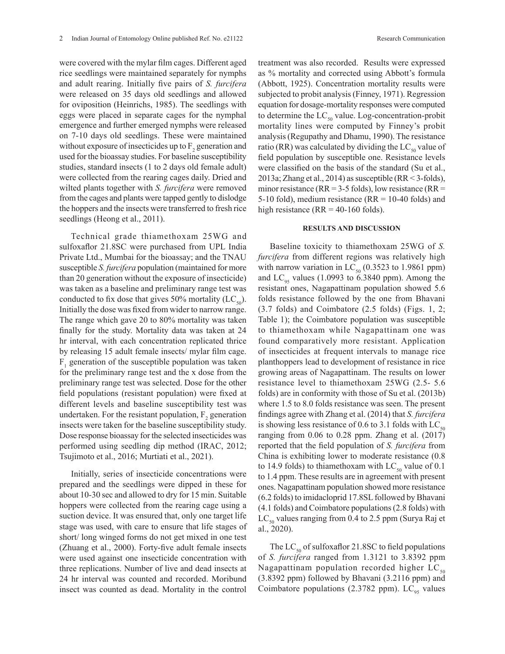were covered with the mylar film cages. Different aged rice seedlings were maintained separately for nymphs and adult rearing. Initially five pairs of *S. furcifera* were released on 35 days old seedlings and allowed for oviposition (Heinrichs, 1985). The seedlings with eggs were placed in separate cages for the nymphal emergence and further emerged nymphs were released on 7-10 days old seedlings. These were maintained without exposure of insecticides up to  $F_2$  generation and used for the bioassay studies. For baseline susceptibility studies, standard insects (1 to 2 days old female adult) were collected from the rearing cages daily. Dried and wilted plants together with *S. furcifera* were removed from the cages and plants were tapped gently to dislodge the hoppers and the insects were transferred to fresh rice

seedlings (Heong et al., 2011).

Technical grade thiamethoxam 25WG and sulfoxaflor 21.8SC were purchased from UPL India Private Ltd., Mumbai for the bioassay; and the TNAU susceptible *S. furcifera* population (maintained for more than 20 generation without the exposure of insecticide) was taken as a baseline and preliminary range test was conducted to fix dose that gives 50% mortality (LC $_{50}$ ). Initially the dose was fixed from wider to narrow range. The range which gave 20 to 80% mortality was taken finally for the study. Mortality data was taken at 24 hr interval, with each concentration replicated thrice by releasing 15 adult female insects/ mylar film cage.  $F_1$  generation of the susceptible population was taken for the preliminary range test and the x dose from the preliminary range test was selected. Dose for the other field populations (resistant population) were fixed at different levels and baseline susceptibility test was undertaken. For the resistant population,  $F_2$  generation insects were taken for the baseline susceptibility study. Dose response bioassay for the selected insecticides was performed using seedling dip method (IRAC, 2012; Tsujimoto et al., 2016; Murtiati et al., 2021).

Initially, series of insecticide concentrations were prepared and the seedlings were dipped in these for about 10-30 sec and allowed to dry for 15 min. Suitable hoppers were collected from the rearing cage using a suction device. It was ensured that, only one target life stage was used, with care to ensure that life stages of short/ long winged forms do not get mixed in one test (Zhuang et al., 2000). Forty-five adult female insects were used against one insecticide concentration with three replications. Number of live and dead insects at 24 hr interval was counted and recorded. Moribund insect was counted as dead. Mortality in the control

treatment was also recorded. Results were expressed as % mortality and corrected using Abbott's formula (Abbott, 1925). Concentration mortality results were subjected to probit analysis (Finney, 1971). Regression equation for dosage-mortality responses were computed to determine the  $LC_{50}$  value. Log-concentration-probit mortality lines were computed by Finney's probit analysis (Regupathy and Dhamu, 1990). The resistance ratio (RR) was calculated by dividing the  $LC_{50}$  value of field population by susceptible one. Resistance levels were classified on the basis of the standard (Su et al., 2013a; Zhang et al., 2014) as susceptible (RR < 3-folds), minor resistance ( $RR = 3-5$  folds), low resistance ( $RR =$ 5-10 fold), medium resistance ( $RR = 10-40$  folds) and high resistance ( $RR = 40-160$  folds).

#### **RESULTS AND DISCUSSION**

Baseline toxicity to thiamethoxam 25WG of *S. furcifera* from different regions was relatively high with narrow variation in  $LC_{50}$  (0.3523 to 1.9861 ppm) and  $LC_{95}$  values (1.0993 to 6.3840 ppm). Among the resistant ones, Nagapattinam population showed 5.6 folds resistance followed by the one from Bhavani (3.7 folds) and Coimbatore (2.5 folds) (Figs. 1, 2; Table 1); the Coimbatore population was susceptible to thiamethoxam while Nagapattinam one was found comparatively more resistant. Application of insecticides at frequent intervals to manage rice planthoppers lead to development of resistance in rice growing areas of Nagapattinam. The results on lower resistance level to thiamethoxam 25WG (2.5- 5.6 folds) are in conformity with those of Su et al. (2013b) where 1.5 to 8.0 folds resistance was seen. The present findings agree with Zhang et al. (2014) that *S. furcifera* is showing less resistance of 0.6 to 3.1 folds with  $LC_{50}$ ranging from 0.06 to 0.28 ppm. Zhang et al. (2017) reported that the field population of *S. furcifera* from China is exhibiting lower to moderate resistance (0.8 to 14.9 folds) to thiamethoxam with  $LC_{50}$  value of 0.1 to 1.4 ppm. These results are in agreement with present ones. Nagapattinam population showed more resistance (6.2 folds) to imidacloprid 17.8SL followed by Bhavani (4.1 folds) and Coimbatore populations (2.8 folds) with  $LC_{50}$  values ranging from 0.4 to 2.5 ppm (Surya Raj et al., 2020).

The  $LC_{50}$  of sulfoxaflor 21.8SC to field populations of *S. furcifera* ranged from 1.3121 to 3.8392 ppm Nagapattinam population recorded higher  $LC_{50}$ (3.8392 ppm) followed by Bhavani (3.2116 ppm) and Coimbatore populations (2.3782 ppm).  $LC_{95}$  values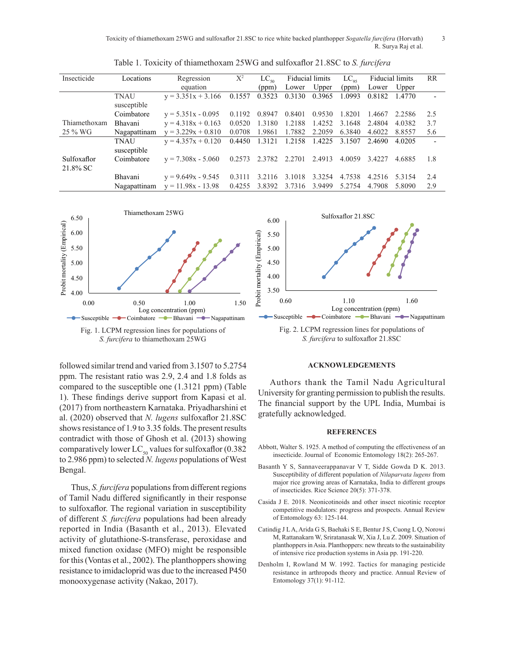Toxicity of thiamethoxam 25WG and sulfoxaflor 21.8SC to rice white backed planthopper *Sogatella furcifera* (Horvath) 3 R. Surya Raj et al.

| Insecticide             | Locations                  | Regression           | $X^2$  | $LC_{50}$ | Fiducial limits |        | $LC_{\rm os}$ | Fiducial limits |        | RR  |
|-------------------------|----------------------------|----------------------|--------|-----------|-----------------|--------|---------------|-----------------|--------|-----|
|                         |                            | equation             |        | (ppm)     | Lower           | Upper  | (ppm)         | Lower           | Upper  |     |
|                         | <b>TNAU</b><br>susceptible | $y = 3.351x + 3.166$ | 0.1557 | 0.3523    | 0.3130          | 0.3965 | 1.0993        | 0.8182          | 1.4770 |     |
|                         | Coimbatore                 | $y = 5.351x - 0.095$ | 0.1192 | 0.8947    | 0.8401          | 0.9530 | 1.8201        | 1.4667          | 2.2586 | 2.5 |
| Thiamethoxam            | Bhavani                    | $y = 4.318x + 0.163$ | 0.0520 | 1.3180    | 1.2188          | 1.4252 | 3.1648        | 2.4804          | 4.0382 | 3.7 |
| 25 % WG                 | Nagapattinam               | $y = 3.229x + 0.810$ | 0.0708 | 1.9861    | 1.7882          | 2.2059 | 6.3840        | 4.6022          | 8.8557 | 5.6 |
|                         | <b>TNAU</b><br>susceptible | $y = 4.357x + 0.120$ | 0.4450 | 1.3121    | 1.2158          | 1.4225 | 3.1507        | 2.4690          | 4.0205 |     |
| Sulfoxaflor<br>21.8% SC | Coimbatore                 | $v = 7.308x - 5.060$ | 0.2573 | 2.3782    | 2.2701          | 2.4913 | 4.0059        | 3.4227          | 4.6885 | 1.8 |
|                         | Bhavani                    | $y = 9.649x - 9.545$ | 0.3111 | 3.2116    | 3.1018          | 3.3254 | 4.7538        | 4.2516          | 5.3154 | 2.4 |
|                         | Nagapattinam               | $y = 11.98x - 13.98$ | 0.4255 | 3.8392    | 3.7316          | 3.9499 | 5.2754        | 4.7908          | 5.8090 | 2.9 |

Table 1. Toxicity of thiamethoxam 25WG and sulfoxaflor 21.8SC to *S. furcifera* 



followed similar trend and varied from 3.1507 to 5.2754 ppm. The resistant ratio was 2.9, 2.4 and 1.8 folds as compared to the susceptible one  $(1.3121 \text{ ppm})$  (Table 1). These findings derive support from Kapasi et al. (2017) from northeastern Karnataka. Priyadharshini et al. (2020) observed that *N. lugens* sulfoxaflor 21.8SC shows resistance of  $1.9$  to  $3.35$  folds. The present results contradict with those of Ghosh et al. (2013) showing comparatively lower  $LC_{50}$  values for sulfoxaflor (0.382) to 2.986 ppm) to selected *N. lugens* populations of West Bengal. 0.60 1.10 1.60 pi<br>pi or<br>).<br>20<br>ho

Thus, *S. furcifera* populations from different regions of Tamil Nadu differed significantly in their response to sulfoxaflor. The regional variation in susceptibility of different *S. furcifera* populations had been already reported in India (Basanth et al., 2013). Elevated activity of glutathione-S-transferase, peroxidase and mixed function oxidase (MFO) might be responsible for this (Vontas et al., 2002). The planthoppers showing resistance to imidacloprid was due to the increased P450 monooxygenase activity (Nakao, 2017).



# $ACKNOWLEDGEMENTS$

Authors thank the Tamil Nadu Agricultural University for granting permission to publish the results. The financial support by the UPL India, Mumbai is gratefully acknowledged.

### **REFERENCES**

- Abbott, Walter S. 1925. A method of computing the effectiveness of an insecticide. Journal of Economic Entomology 18(2): 265-267.
- Basanth Y S, Sannaveerappanavar V T, Sidde Gowda D K. 2013. Susceptibility of different population of *Nilaparvata lugens* from major rice growing areas of Karnataka, India to different groups of insecticides. Rice Science 20(5): 371-378.
- Casida J E. 2018. Neonicotinoids and other insect nicotinic receptor competitive modulators: progress and prospects. Annual Review of Entomology 63: 125-144.
- Catindig J L A, Arida G S, Baehaki S E, Bentur J S, Cuong L Q, Norowi M, Rattanakarn W, Sriratanasak W, Xia J, Lu Z. 2009. Situation of planthoppers in Asia. Planthoppers: new threats to the sustainability of intensive rice production systems in Asia pp. 191-220.
- Denholm I, Rowland M W. 1992. Tactics for managing pesticide resistance in arthropods theory and practice. Annual Review of Entomology 37(1): 91-112.